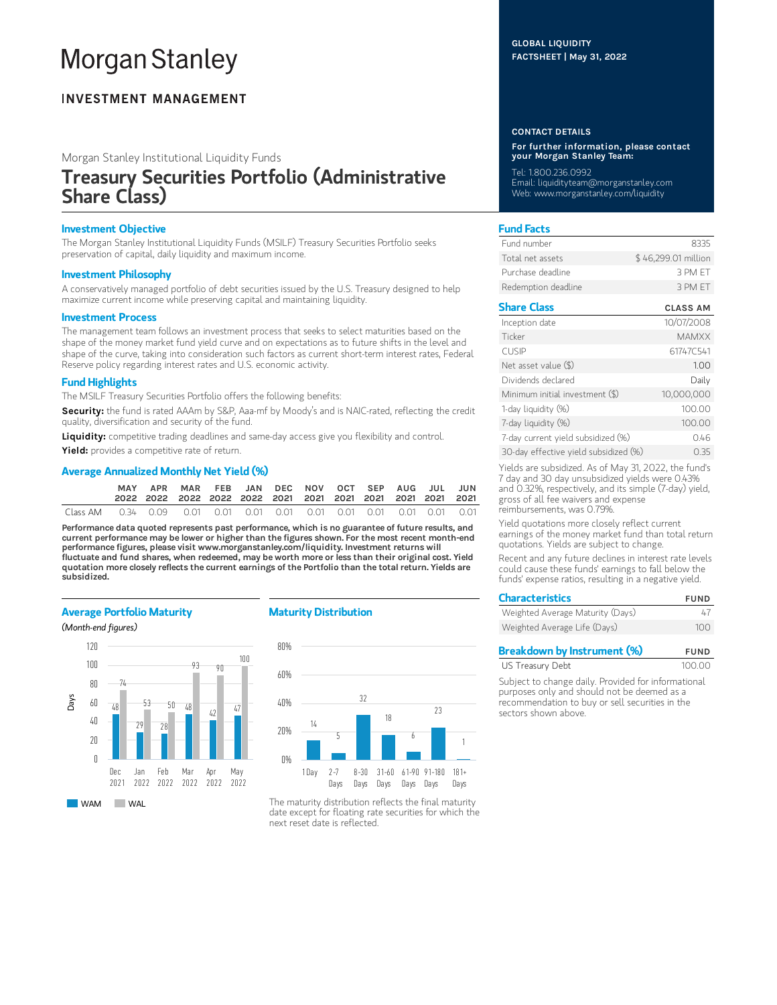# **Morgan Stanley**

# **INVESTMENT MANAGEMENT**

Morgan Stanley Institutional Liquidity Funds

# Treasury Securities Portfolio (Administrative Share Class)

## Investment Objective

The Morgan Stanley Institutional Liquidity Funds (MSILF) Treasury Securities Portfolio seeks preservation of capital, daily liquidity and maximum income.

### Investment Philosophy

A conservatively managed portfolio of debt securities issued by the U.S. Treasury designed to help maximize current income while preserving capital and maintaining liquidity.

#### Investment Process

The management team follows an investment process that seeks to select maturities based on the shape of the money market fund yield curve and on expectations as to future shifts in the level and shape of the curve, taking into consideration such factors as current short-term interest rates, Federal Reserve policy regarding interest rates and U.S. economic activity.

#### Fund Highlights

The MSILF Treasury Securities Portfolio offers the following benefits:

Security: the fund is rated AAAm by S&P, Aaa-mf by Moody's and is NAIC-rated, reflecting the credit quality, diversification and security of the fund.

Liquidity: competitive trading deadlines and same-day access give you flexibility and control.

Yield: provides a competitive rate of return.

#### Average Annualized Monthly Net Yield (%)

|                                                                                              | MAY | APR | MAR FEB JAN DEC NOV OCT SEP AUG JUL JUN |  |  |  |  |  |
|----------------------------------------------------------------------------------------------|-----|-----|-----------------------------------------|--|--|--|--|--|
| Class AM   0.34   0.09   0.01   0.01   0.01   0.01   0.01   0.01   0.01   0.01   0.01   0.01 |     |     |                                         |  |  |  |  |  |

Performance data quoted represents past performance, which is no guarantee of future results, and current performance may be lower or higher than the figures shown. For the most recent month-end performance figures, please visit www.morganstanley.com/liquidity. Investment returns will fluctuate and fund shares, when redeemed, may be worth more or less than their original cost. Yield quotation more closely reflects the current earnings of the Portfolio than the total return. Yields are subsidized.

## Average Portfolio Maturity





# Maturity Distribution



The maturity distribution reflects the final maturity date except for floating rate securities for which the next reset date is reflected.

#### GLOBAL LIQUIDITY FACTSHEET | May 31, 2022

#### CONTACT DETAILS

For further information, please contact your Morgan Stanley Team:

Tel: 1.800.236.0992 Email: liquidityteam@morganstanley.com Web: www.morganstanley.com/liquidity

# Fund Facts

| Fund number         | 8335                |
|---------------------|---------------------|
| Total net assets    | \$46,299.01 million |
| Purchase deadline.  | 3 PM FT             |
| Redemption deadline | 3 PM FT             |

# Share Class CLASS AM

| Inception date                        | 10/07/2008   |
|---------------------------------------|--------------|
| Ticker                                | <b>MAMXX</b> |
| <b>CUSIP</b>                          | 61747C541    |
| Net asset value $(\$)$                | 1.00         |
| Dividends declared                    | Daily        |
| Minimum initial investment (\$)       | 10,000,000   |
| 1-day liquidity (%)                   | 100.00       |
| 7-day liquidity (%)                   | 100.00       |
| 7-day current yield subsidized (%)    | 0.46         |
| 30-day effective yield subsidized (%) | O 35         |

Yields are subsidized. As of May 31, 2022, the fund's 7 day and 30 day unsubsidized yields were 0.43% and 0.32%, respectively, and its simple (7-day) yield, gross of all fee waivers and expense reimbursements, was 0.79%.

Yield quotations more closely reflect current earnings of the money market fund than total return quotations. Yields are subject to change.

Recent and any future declines in interest rate levels could cause these funds' earnings to fall below the funds' expense ratios, resulting in a negative yield.

| <b>Characteristics</b>           | <b>FUND</b> |  |  |
|----------------------------------|-------------|--|--|
| Weighted Average Maturity (Days) | 47          |  |  |
| Weighted Average Life (Days)     | 100         |  |  |

| <b>Breakdown by Instrument (%)</b> | <b>FUND</b> |
|------------------------------------|-------------|
| US Treasury Debt                   | 100.00      |

Subject to change daily. Provided for informational purposes only and should not be deemed as a recommendation to buy or sell securities in the sectors shown above.